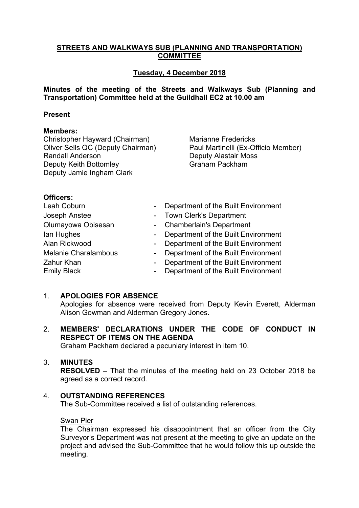# **STREETS AND WALKWAYS SUB (PLANNING AND TRANSPORTATION) COMMITTEE**

# **Tuesday, 4 December 2018**

**Minutes of the meeting of the Streets and Walkways Sub (Planning and Transportation) Committee held at the Guildhall EC2 at 10.00 am**

#### **Present**

#### **Members:**

Christopher Hayward (Chairman) Oliver Sells QC (Deputy Chairman) Randall Anderson Deputy Keith Bottomley Deputy Jamie Ingham Clark

Marianne Fredericks Paul Martinelli (Ex-Officio Member) Deputy Alastair Moss Graham Packham

#### **Officers:**

| Leah Coburn<br>$\overline{\phantom{a}}$<br>Joseph Anstee<br>Olumayowa Obisesan |        | Department of the Built Environment<br>- Town Clerk's Department<br>- Chamberlain's Department |
|--------------------------------------------------------------------------------|--------|------------------------------------------------------------------------------------------------|
| lan Hughes<br>$\blacksquare$<br>Alan Rickwood                                  |        | Department of the Built Environment<br>Department of the Built Environment                     |
| $\blacksquare$<br><b>Melanie Charalambous</b>                                  | $\sim$ | Department of the Built Environment                                                            |
| Zahur Khan<br>$\blacksquare$<br><b>Emily Black</b><br>$\blacksquare$           |        | Department of the Built Environment<br>Department of the Built Environment                     |

#### 1. **APOLOGIES FOR ABSENCE**

Apologies for absence were received from Deputy Kevin Everett, Alderman Alison Gowman and Alderman Gregory Jones.

2. **MEMBERS' DECLARATIONS UNDER THE CODE OF CONDUCT IN RESPECT OF ITEMS ON THE AGENDA**

Graham Packham declared a pecuniary interest in item 10.

### 3. **MINUTES**

**RESOLVED** – That the minutes of the meeting held on 23 October 2018 be agreed as a correct record.

# 4. **OUTSTANDING REFERENCES**

The Sub-Committee received a list of outstanding references.

# Swan Pier

The Chairman expressed his disappointment that an officer from the City Surveyor's Department was not present at the meeting to give an update on the project and advised the Sub-Committee that he would follow this up outside the meeting.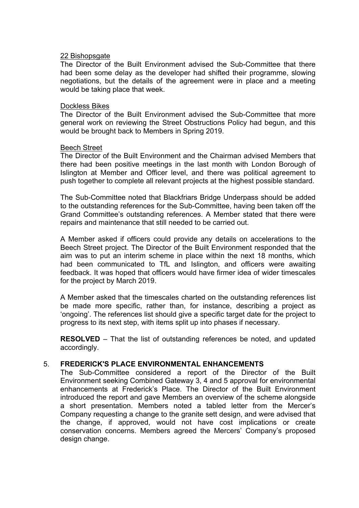#### 22 Bishopsgate

The Director of the Built Environment advised the Sub-Committee that there had been some delay as the developer had shifted their programme, slowing negotiations, but the details of the agreement were in place and a meeting would be taking place that week.

#### Dockless Bikes

The Director of the Built Environment advised the Sub-Committee that more general work on reviewing the Street Obstructions Policy had begun, and this would be brought back to Members in Spring 2019.

#### Beech Street

The Director of the Built Environment and the Chairman advised Members that there had been positive meetings in the last month with London Borough of Islington at Member and Officer level, and there was political agreement to push together to complete all relevant projects at the highest possible standard.

The Sub-Committee noted that Blackfriars Bridge Underpass should be added to the outstanding references for the Sub-Committee, having been taken off the Grand Committee's outstanding references. A Member stated that there were repairs and maintenance that still needed to be carried out.

A Member asked if officers could provide any details on accelerations to the Beech Street project. The Director of the Built Environment responded that the aim was to put an interim scheme in place within the next 18 months, which had been communicated to TfL and Islington, and officers were awaiting feedback. It was hoped that officers would have firmer idea of wider timescales for the project by March 2019.

A Member asked that the timescales charted on the outstanding references list be made more specific, rather than, for instance, describing a project as 'ongoing'. The references list should give a specific target date for the project to progress to its next step, with items split up into phases if necessary.

**RESOLVED** – That the list of outstanding references be noted, and updated accordingly.

# 5. **FREDERICK'S PLACE ENVIRONMENTAL ENHANCEMENTS**

The Sub-Committee considered a report of the Director of the Built Environment seeking Combined Gateway 3, 4 and 5 approval for environmental enhancements at Frederick's Place. The Director of the Built Environment introduced the report and gave Members an overview of the scheme alongside a short presentation. Members noted a tabled letter from the Mercer's Company requesting a change to the granite sett design, and were advised that the change, if approved, would not have cost implications or create conservation concerns. Members agreed the Mercers' Company's proposed design change.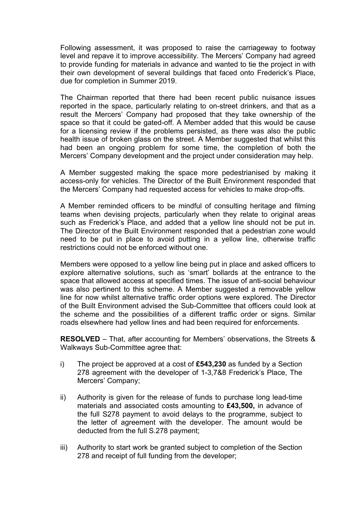Following assessment, it was proposed to raise the carriageway to footway level and repave it to improve accessibility. The Mercers' Company had agreed to provide funding for materials in advance and wanted to tie the project in with their own development of several buildings that faced onto Frederick's Place, due for completion in Summer 2019.

The Chairman reported that there had been recent public nuisance issues reported in the space, particularly relating to on-street drinkers, and that as a result the Mercers' Company had proposed that they take ownership of the space so that it could be gated-off. A Member added that this would be cause for a licensing review if the problems persisted, as there was also the public health issue of broken glass on the street. A Member suggested that whilst this had been an ongoing problem for some time, the completion of both the Mercers' Company development and the project under consideration may help.

A Member suggested making the space more pedestrianised by making it access-only for vehicles. The Director of the Built Environment responded that the Mercers' Company had requested access for vehicles to make drop-offs.

A Member reminded officers to be mindful of consulting heritage and filming teams when devising projects, particularly when they relate to original areas such as Frederick's Place, and added that a yellow line should not be put in. The Director of the Built Environment responded that a pedestrian zone would need to be put in place to avoid putting in a yellow line, otherwise traffic restrictions could not be enforced without one.

Members were opposed to a yellow line being put in place and asked officers to explore alternative solutions, such as 'smart' bollards at the entrance to the space that allowed access at specified times. The issue of anti-social behaviour was also pertinent to this scheme. A Member suggested a removable yellow line for now whilst alternative traffic order options were explored. The Director of the Built Environment advised the Sub-Committee that officers could look at the scheme and the possibilities of a different traffic order or signs. Similar roads elsewhere had yellow lines and had been required for enforcements.

**RESOLVED** – That, after accounting for Members' observations, the Streets & Walkways Sub-Committee agree that:

- i) The project be approved at a cost of **£543,230** as funded by a Section 278 agreement with the developer of 1-3,7&8 Frederick's Place, The Mercers' Company;
- ii) Authority is given for the release of funds to purchase long lead-time materials and associated costs amounting to **£43,500,** in advance of the full S278 payment to avoid delays to the programme, subject to the letter of agreement with the developer. The amount would be deducted from the full S.278 payment;
- iii) Authority to start work be granted subject to completion of the Section 278 and receipt of full funding from the developer;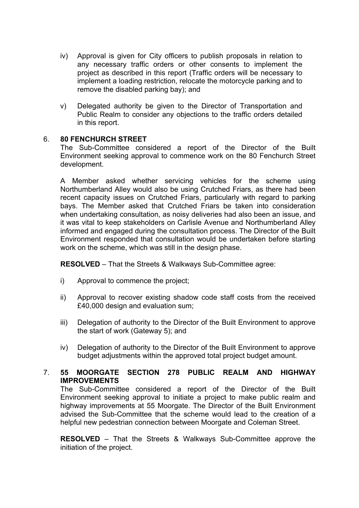- iv) Approval is given for City officers to publish proposals in relation to any necessary traffic orders or other consents to implement the project as described in this report (Traffic orders will be necessary to implement a loading restriction, relocate the motorcycle parking and to remove the disabled parking bay); and
- v) Delegated authority be given to the Director of Transportation and Public Realm to consider any objections to the traffic orders detailed in this report.

# 6. **80 FENCHURCH STREET**

The Sub-Committee considered a report of the Director of the Built Environment seeking approval to commence work on the 80 Fenchurch Street development.

A Member asked whether servicing vehicles for the scheme using Northumberland Alley would also be using Crutched Friars, as there had been recent capacity issues on Crutched Friars, particularly with regard to parking bays. The Member asked that Crutched Friars be taken into consideration when undertaking consultation, as noisy deliveries had also been an issue, and it was vital to keep stakeholders on Carlisle Avenue and Northumberland Alley informed and engaged during the consultation process. The Director of the Built Environment responded that consultation would be undertaken before starting work on the scheme, which was still in the design phase.

**RESOLVED** – That the Streets & Walkways Sub-Committee agree:

- i) Approval to commence the project;
- ii) Approval to recover existing shadow code staff costs from the received £40,000 design and evaluation sum;
- iii) Delegation of authority to the Director of the Built Environment to approve the start of work (Gateway 5); and
- iv) Delegation of authority to the Director of the Built Environment to approve budget adjustments within the approved total project budget amount.

# 7. **55 MOORGATE SECTION 278 PUBLIC REALM AND HIGHWAY IMPROVEMENTS**

The Sub-Committee considered a report of the Director of the Built Environment seeking approval to initiate a project to make public realm and highway improvements at 55 Moorgate. The Director of the Built Environment advised the Sub-Committee that the scheme would lead to the creation of a helpful new pedestrian connection between Moorgate and Coleman Street.

**RESOLVED** – That the Streets & Walkways Sub-Committee approve the initiation of the project.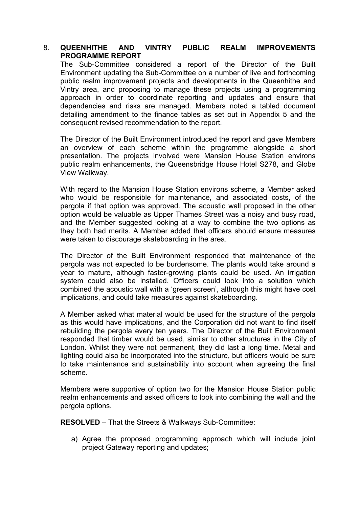### 8. **QUEENHITHE AND VINTRY PUBLIC REALM IMPROVEMENTS PROGRAMME REPORT**

The Sub-Committee considered a report of the Director of the Built Environment updating the Sub-Committee on a number of live and forthcoming public realm improvement projects and developments in the Queenhithe and Vintry area, and proposing to manage these projects using a programming approach in order to coordinate reporting and updates and ensure that dependencies and risks are managed. Members noted a tabled document detailing amendment to the finance tables as set out in Appendix 5 and the consequent revised recommendation to the report.

The Director of the Built Environment introduced the report and gave Members an overview of each scheme within the programme alongside a short presentation. The projects involved were Mansion House Station environs public realm enhancements, the Queensbridge House Hotel S278, and Globe View Walkway.

With regard to the Mansion House Station environs scheme, a Member asked who would be responsible for maintenance, and associated costs, of the pergola if that option was approved. The acoustic wall proposed in the other option would be valuable as Upper Thames Street was a noisy and busy road, and the Member suggested looking at a way to combine the two options as they both had merits. A Member added that officers should ensure measures were taken to discourage skateboarding in the area.

The Director of the Built Environment responded that maintenance of the pergola was not expected to be burdensome. The plants would take around a year to mature, although faster-growing plants could be used. An irrigation system could also be installed. Officers could look into a solution which combined the acoustic wall with a 'green screen', although this might have cost implications, and could take measures against skateboarding.

A Member asked what material would be used for the structure of the pergola as this would have implications, and the Corporation did not want to find itself rebuilding the pergola every ten years. The Director of the Built Environment responded that timber would be used, similar to other structures in the City of London. Whilst they were not permanent, they did last a long time. Metal and lighting could also be incorporated into the structure, but officers would be sure to take maintenance and sustainability into account when agreeing the final scheme.

Members were supportive of option two for the Mansion House Station public realm enhancements and asked officers to look into combining the wall and the pergola options.

**RESOLVED** – That the Streets & Walkways Sub-Committee:

a) Agree the proposed programming approach which will include joint project Gateway reporting and updates;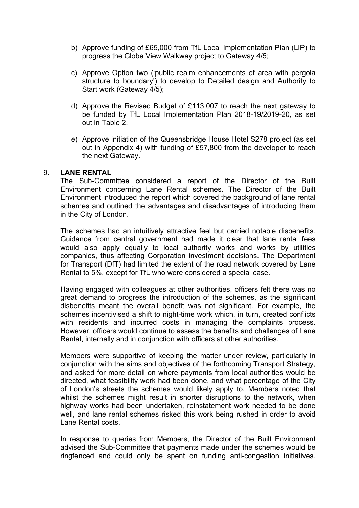- b) Approve funding of £65,000 from TfL Local Implementation Plan (LIP) to progress the Globe View Walkway project to Gateway 4/5;
- c) Approve Option two ('public realm enhancements of area with pergola structure to boundary') to develop to Detailed design and Authority to Start work (Gateway 4/5);
- d) Approve the Revised Budget of £113,007 to reach the next gateway to be funded by TfL Local Implementation Plan 2018-19/2019-20, as set out in Table 2.
- e) Approve initiation of the Queensbridge House Hotel S278 project (as set out in Appendix 4) with funding of £57,800 from the developer to reach the next Gateway.

#### 9. **LANE RENTAL**

The Sub-Committee considered a report of the Director of the Built Environment concerning Lane Rental schemes. The Director of the Built Environment introduced the report which covered the background of lane rental schemes and outlined the advantages and disadvantages of introducing them in the City of London.

The schemes had an intuitively attractive feel but carried notable disbenefits. Guidance from central government had made it clear that lane rental fees would also apply equally to local authority works and works by utilities companies, thus affecting Corporation investment decisions. The Department for Transport (DfT) had limited the extent of the road network covered by Lane Rental to 5%, except for TfL who were considered a special case.

Having engaged with colleagues at other authorities, officers felt there was no great demand to progress the introduction of the schemes, as the significant disbenefits meant the overall benefit was not significant. For example, the schemes incentivised a shift to night-time work which, in turn, created conflicts with residents and incurred costs in managing the complaints process. However, officers would continue to assess the benefits and challenges of Lane Rental, internally and in conjunction with officers at other authorities.

Members were supportive of keeping the matter under review, particularly in conjunction with the aims and objectives of the forthcoming Transport Strategy, and asked for more detail on where payments from local authorities would be directed, what feasibility work had been done, and what percentage of the City of London's streets the schemes would likely apply to. Members noted that whilst the schemes might result in shorter disruptions to the network, when highway works had been undertaken, reinstatement work needed to be done well, and lane rental schemes risked this work being rushed in order to avoid Lane Rental costs.

In response to queries from Members, the Director of the Built Environment advised the Sub-Committee that payments made under the schemes would be ringfenced and could only be spent on funding anti-congestion initiatives.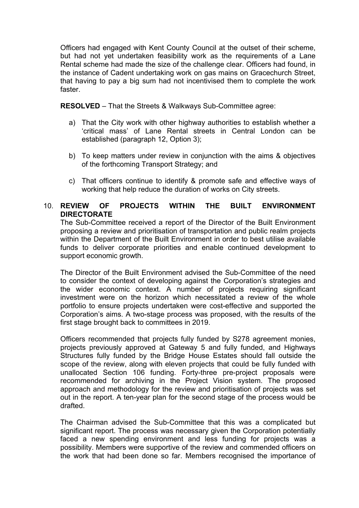Officers had engaged with Kent County Council at the outset of their scheme, but had not yet undertaken feasibility work as the requirements of a Lane Rental scheme had made the size of the challenge clear. Officers had found, in the instance of Cadent undertaking work on gas mains on Gracechurch Street, that having to pay a big sum had not incentivised them to complete the work faster.

**RESOLVED** – That the Streets & Walkways Sub-Committee agree:

- a) That the City work with other highway authorities to establish whether a 'critical mass' of Lane Rental streets in Central London can be established (paragraph 12, Option 3);
- b) To keep matters under review in conjunction with the aims & objectives of the forthcoming Transport Strategy; and
- c) That officers continue to identify & promote safe and effective ways of working that help reduce the duration of works on City streets.

# 10. **REVIEW OF PROJECTS WITHIN THE BUILT ENVIRONMENT DIRECTORATE**

The Sub-Committee received a report of the Director of the Built Environment proposing a review and prioritisation of transportation and public realm projects within the Department of the Built Environment in order to best utilise available funds to deliver corporate priorities and enable continued development to support economic growth.

The Director of the Built Environment advised the Sub-Committee of the need to consider the context of developing against the Corporation's strategies and the wider economic context. A number of projects requiring significant investment were on the horizon which necessitated a review of the whole portfolio to ensure projects undertaken were cost-effective and supported the Corporation's aims. A two-stage process was proposed, with the results of the first stage brought back to committees in 2019.

Officers recommended that projects fully funded by S278 agreement monies, projects previously approved at Gateway 5 and fully funded, and Highways Structures fully funded by the Bridge House Estates should fall outside the scope of the review, along with eleven projects that could be fully funded with unallocated Section 106 funding. Forty-three pre-project proposals were recommended for archiving in the Project Vision system. The proposed approach and methodology for the review and prioritisation of projects was set out in the report. A ten-year plan for the second stage of the process would be drafted.

The Chairman advised the Sub-Committee that this was a complicated but significant report. The process was necessary given the Corporation potentially faced a new spending environment and less funding for projects was a possibility. Members were supportive of the review and commended officers on the work that had been done so far. Members recognised the importance of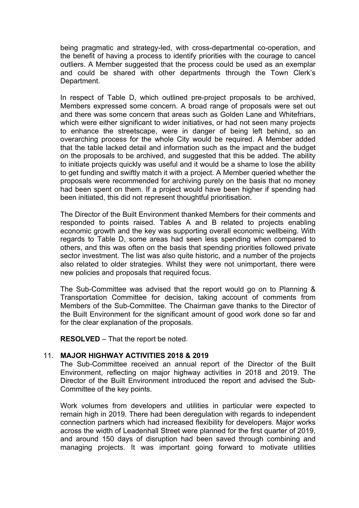being pragmatic and strategy-led, with cross-departmental co-operation, and the benefit of having a process to identify priorities with the courage to cancel outliers. A Member suggested that the process could be used as an exemplar and could be shared with other departments through the Town Clerk's Department.

In respect of Table D, which outlined pre-project proposals to be archived, Members expressed some concern. A broad range of proposals were set out and there was some concern that areas such as Golden Lane and Whitefriars, which were either significant to wider initiatives, or had not seen many projects to enhance the streetscape, were in danger of being left behind, so an overarching process for the whole City would be required. A Member added that the table lacked detail and information such as the impact and the budget on the proposals to be archived, and suggested that this be added. The ability to initiate projects quickly was useful and it would be a shame to lose the ability to get funding and swiftly match it with a project. A Member queried whether the proposals were recommended for archiving purely on the basis that no money had been spent on them. If a project would have been higher if spending had been initiated, this did not represent thoughtful prioritisation.

The Director of the Built Environment thanked Members for their comments and responded to points raised. Tables A and B related to projects enabling economic growth and the key was supporting overall economic wellbeing. With regards to Table D, some areas had seen less spending when compared to others, and this was often on the basis that spending priorities followed private sector investment. The list was also quite historic, and a number of the projects also related to older strategies. Whilst they were not unimportant, there were new policies and proposals that required focus.

The Sub-Committee was advised that the report would go on to Planning & Transportation Committee for decision, taking account of comments from Members of the Sub-Committee. The Chairman gave thanks to the Director of the Built Environment for the significant amount of good work done so far and for the clear explanation of the proposals.

**RESOLVED** – That the report be noted.

# 11. **MAJOR HIGHWAY ACTIVITIES 2018 & 2019**

The Sub-Committee received an annual report of the Director of the Built Environment, reflecting on major highway activities in 2018 and 2019. The Director of the Built Environment introduced the report and advised the Sub-Committee of the key points.

Work volumes from developers and utilities in particular were expected to remain high in 2019. There had been deregulation with regards to independent connection partners which had increased flexibility for developers. Major works across the width of Leadenhall Street were planned for the first quarter of 2019, and around 150 days of disruption had been saved through combining and managing projects. It was important going forward to motivate utilities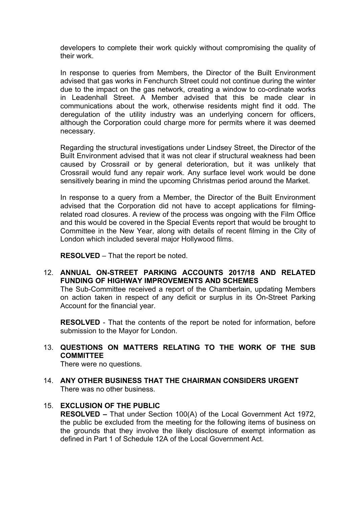developers to complete their work quickly without compromising the quality of their work.

In response to queries from Members, the Director of the Built Environment advised that gas works in Fenchurch Street could not continue during the winter due to the impact on the gas network, creating a window to co-ordinate works in Leadenhall Street. A Member advised that this be made clear in communications about the work, otherwise residents might find it odd. The deregulation of the utility industry was an underlying concern for officers, although the Corporation could charge more for permits where it was deemed necessary.

Regarding the structural investigations under Lindsey Street, the Director of the Built Environment advised that it was not clear if structural weakness had been caused by Crossrail or by general deterioration, but it was unlikely that Crossrail would fund any repair work. Any surface level work would be done sensitively bearing in mind the upcoming Christmas period around the Market.

In response to a query from a Member, the Director of the Built Environment advised that the Corporation did not have to accept applications for filmingrelated road closures. A review of the process was ongoing with the Film Office and this would be covered in the Special Events report that would be brought to Committee in the New Year, along with details of recent filming in the City of London which included several major Hollywood films.

**RESOLVED** – That the report be noted.

12. **ANNUAL ON-STREET PARKING ACCOUNTS 2017/18 AND RELATED FUNDING OF HIGHWAY IMPROVEMENTS AND SCHEMES**

The Sub-Committee received a report of the Chamberlain, updating Members on action taken in respect of any deficit or surplus in its On-Street Parking Account for the financial year.

**RESOLVED** - That the contents of the report be noted for information, before submission to the Mayor for London.

13. **QUESTIONS ON MATTERS RELATING TO THE WORK OF THE SUB COMMITTEE**

There were no questions.

14. **ANY OTHER BUSINESS THAT THE CHAIRMAN CONSIDERS URGENT** There was no other business.

# 15. **EXCLUSION OF THE PUBLIC**

**RESOLVED –** That under Section 100(A) of the Local Government Act 1972, the public be excluded from the meeting for the following items of business on the grounds that they involve the likely disclosure of exempt information as defined in Part 1 of Schedule 12A of the Local Government Act.